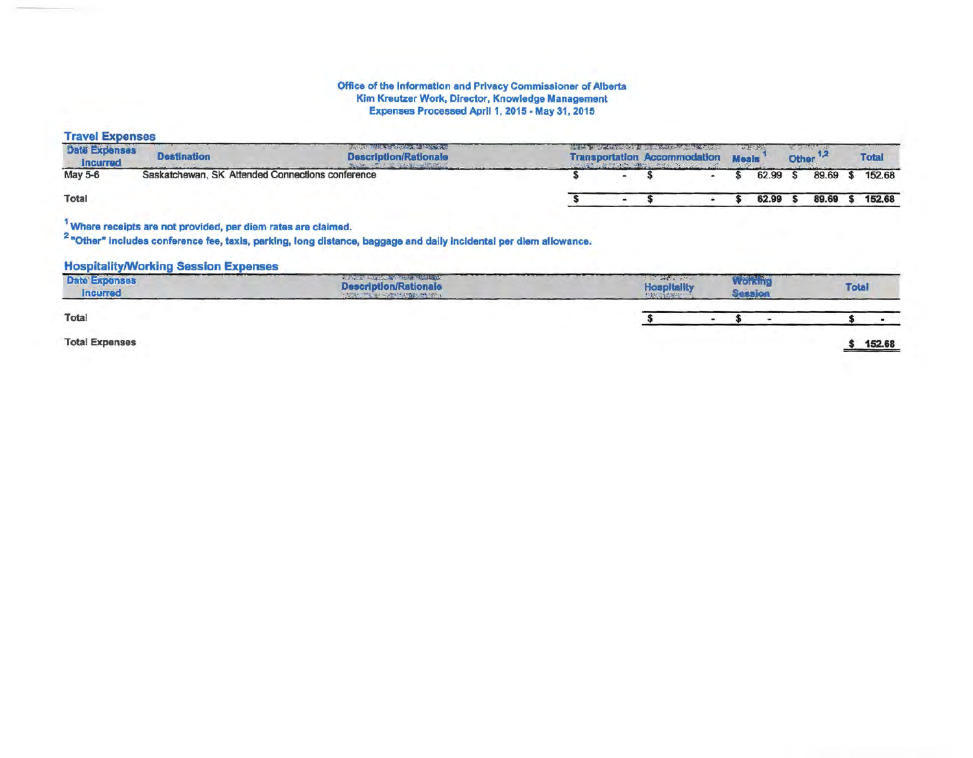## Office of the Information and Privacy Commissioner of Alberta Kim Kreutzer Work, Director, Knowledge Management Expenses Processed April 1, 2015 - May 31, 2015

**Travel Expenses** 

| <b>Date Expenses</b><br>Incurred | <b>Destination</b> | <b>Service Constitution of Actions of the Marion Constitution</b><br><b>Description/Rationale</b><br>THREE CUTTING A REAL PROPERTY OF THE PRESS |  | THE R. P. LEWIS CO., LANSING MICH. 49-14039-1-120-2<br><b>Transportation Accommodation Meals</b> |  |          | <b>Other</b> |          | <b>Total</b> |
|----------------------------------|--------------------|-------------------------------------------------------------------------------------------------------------------------------------------------|--|--------------------------------------------------------------------------------------------------|--|----------|--------------|----------|--------------|
| May 5-6                          |                    | Saskatchewan, SK Attended Connections conference                                                                                                |  |                                                                                                  |  | 62.99 \$ |              | 89.69 \$ | 152.68       |
| Total                            |                    |                                                                                                                                                 |  |                                                                                                  |  | 62.99 \$ |              | 89.69 \$ | 152.68       |

<sup>1</sup> Where receipts are not provided, per diem rates are claimed.<br><sup>2</sup> "Other" includes conference fee, taxis, parking, long distance, baggage and daily incldental per diem allowance.

## **Hospitality/Working Session Expenses**

| <b>Date Expenses</b><br><b>Incurred</b> | The Property of the Second Seconds of M<br><b>Description/Rationale</b><br>THE THE WALL PARTIES INSIDE THE TWO IS | <b>A WAY AND A WAY IT</b><br><b>Hospitality</b><br>$-1/200$ | WORTH | <b>Total</b> |  |  |
|-----------------------------------------|-------------------------------------------------------------------------------------------------------------------|-------------------------------------------------------------|-------|--------------|--|--|
| Total                                   |                                                                                                                   |                                                             |       |              |  |  |
| <b>Total Expenses</b>                   |                                                                                                                   |                                                             |       | 152.68       |  |  |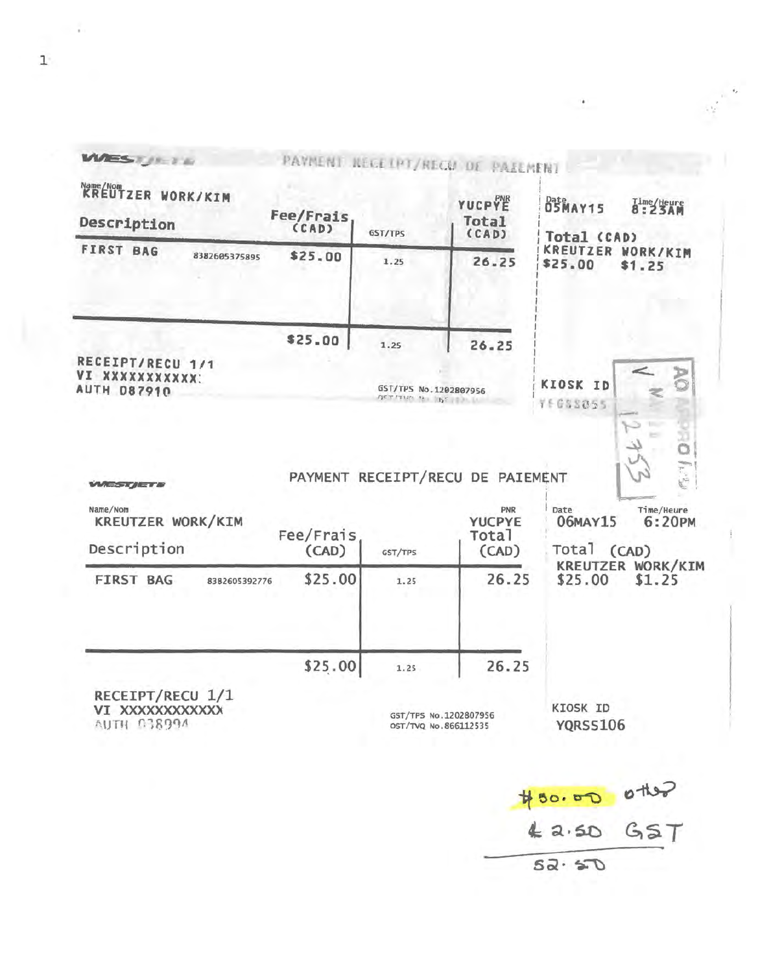| Name/Nom<br>KREUTZER WORK/KIM<br>Description                     | Fee/Frais          | GST/TPS               | YUCPYE<br>Total<br>(CAD)                                                   | Date AY15<br>Time/teure<br>8:23AM<br>Total (CAD)                                          |  |  |
|------------------------------------------------------------------|--------------------|-----------------------|----------------------------------------------------------------------------|-------------------------------------------------------------------------------------------|--|--|
| <b>FIRST BAG</b><br>8382605375895                                | \$25.00            | 1.25                  | 26.25                                                                      | <b>KREUTZER WORK/KIM</b><br>\$25.00<br>\$1.25                                             |  |  |
| RECEIPT/RECU 1/1                                                 | \$25.00            | 1.25                  | 26.25                                                                      |                                                                                           |  |  |
| VI XXXXXXXXXXX                                                   |                    |                       |                                                                            | KIOSK ID                                                                                  |  |  |
| <b>AUTH 087910</b>                                               |                    | neverus an 162 police | GST/TPS No.1202807956                                                      | 76688055<br>e<br>Ö                                                                        |  |  |
| <b>WEST ET B</b><br>Name/Nom<br>KREUTZER WORK/KIM<br>Description | Fee/Frais<br>(CAD) | GST/TPS               | PAYMENT RECEIPT/RECU DE PAIEMENT<br>PNR<br><b>YUCPYE</b><br>Total<br>(CAD) | $\mathbb{F}_k$ : $\mathbb{F}_k$<br>Date<br>Time/Heure<br>06MAY15<br>6:20PM<br>Total (CAD) |  |  |
| <b>FIRST BAG</b><br>8382605392776                                | \$25.00            | 1.25                  | 26.25                                                                      | KREUTZER WORK/KIM<br>\$25.00<br>\$1.25                                                    |  |  |
|                                                                  | \$25.00            | 1.25                  | 26.25                                                                      |                                                                                           |  |  |

 $42.50$   $GST$ 

 $\left\langle \phi \right\rangle ^{0.5}$ 

 $\sim 20$ 

 $\frac{1}{52.50}$ 

 $1^\circ$ 

 $\sim$